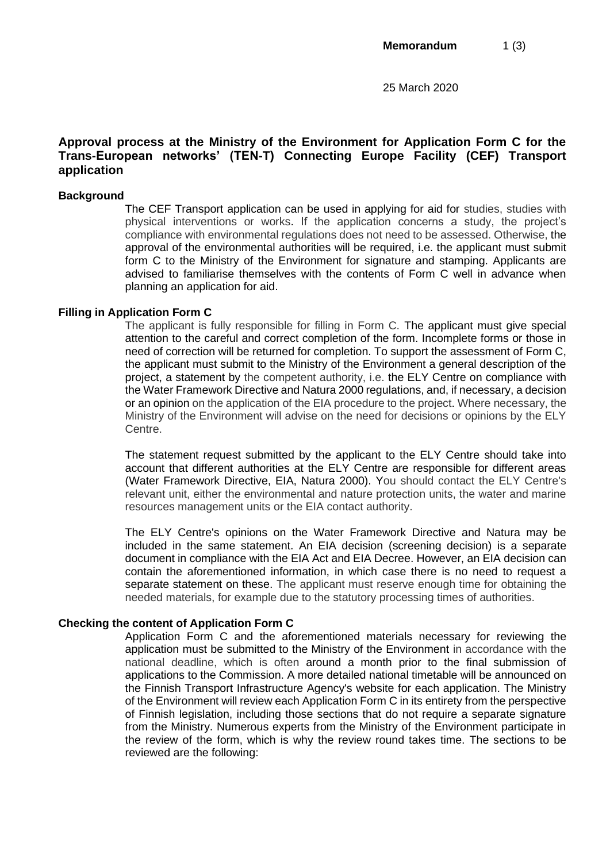25 March 2020

# **Approval process at the Ministry of the Environment for Application Form C for the Trans-European networks' (TEN-T) Connecting Europe Facility (CEF) Transport application**

### **Background**

The CEF Transport application can be used in applying for aid for studies, studies with physical interventions or works. If the application concerns a study, the project's compliance with environmental regulations does not need to be assessed. Otherwise, the approval of the environmental authorities will be required, i.e. the applicant must submit form C to the Ministry of the Environment for signature and stamping. Applicants are advised to familiarise themselves with the contents of Form C well in advance when planning an application for aid.

### **Filling in Application Form C**

The applicant is fully responsible for filling in Form C. The applicant must give special attention to the careful and correct completion of the form. Incomplete forms or those in need of correction will be returned for completion. To support the assessment of Form C, the applicant must submit to the Ministry of the Environment a general description of the project, a statement by the competent authority, i.e. the ELY Centre on compliance with the Water Framework Directive and Natura 2000 regulations, and, if necessary, a decision or an opinion on the application of the EIA procedure to the project. Where necessary, the Ministry of the Environment will advise on the need for decisions or opinions by the ELY Centre.

The statement request submitted by the applicant to the ELY Centre should take into account that different authorities at the ELY Centre are responsible for different areas (Water Framework Directive, EIA, Natura 2000). You should contact the ELY Centre's relevant unit, either the environmental and nature protection units, the water and marine resources management units or the EIA contact authority.

The ELY Centre's opinions on the Water Framework Directive and Natura may be included in the same statement. An EIA decision (screening decision) is a separate document in compliance with the EIA Act and EIA Decree. However, an EIA decision can contain the aforementioned information, in which case there is no need to request a separate statement on these. The applicant must reserve enough time for obtaining the needed materials, for example due to the statutory processing times of authorities.

# **Checking the content of Application Form C**

Application Form C and the aforementioned materials necessary for reviewing the application must be submitted to the Ministry of the Environment in accordance with the national deadline, which is often around a month prior to the final submission of applications to the Commission. A more detailed national timetable will be announced on the Finnish Transport Infrastructure Agency's website for each application. The Ministry of the Environment will review each Application Form C in its entirety from the perspective of Finnish legislation, including those sections that do not require a separate signature from the Ministry. Numerous experts from the Ministry of the Environment participate in the review of the form, which is why the review round takes time. The sections to be reviewed are the following: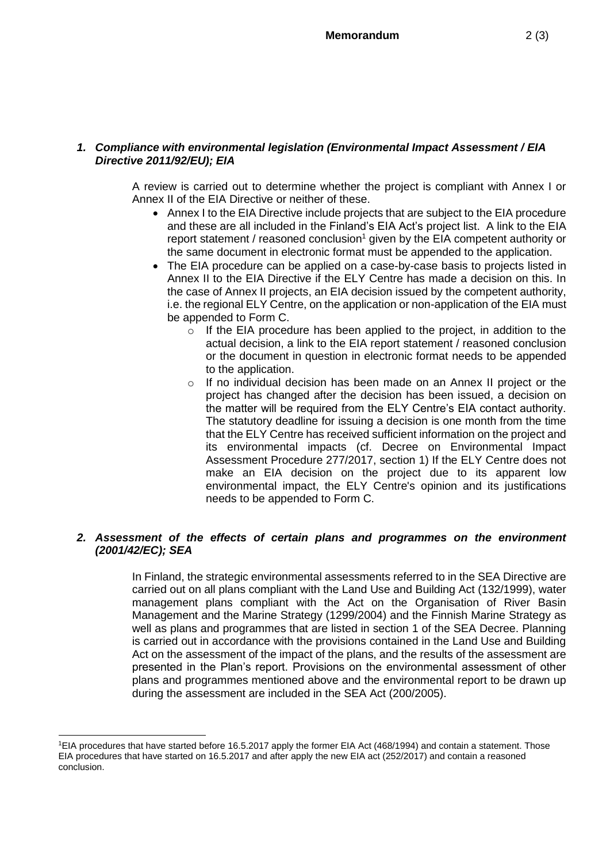# *1. Compliance with environmental legislation (Environmental Impact Assessment / EIA Directive 2011/92/EU); EIA*

A review is carried out to determine whether the project is compliant with Annex I or Annex II of the EIA Directive or neither of these.

- Annex I to the EIA Directive include projects that are subject to the EIA procedure and these are all included in the Finland's EIA Act's project list. A link to the EIA report statement / reasoned conclusion<sup>1</sup> given by the EIA competent authority or the same document in electronic format must be appended to the application.
- The EIA procedure can be applied on a case-by-case basis to projects listed in Annex II to the EIA Directive if the ELY Centre has made a decision on this. In the case of Annex II projects, an EIA decision issued by the competent authority, i.e. the regional ELY Centre, on the application or non-application of the EIA must be appended to Form C.
	- o If the EIA procedure has been applied to the project, in addition to the actual decision, a link to the EIA report statement / reasoned conclusion or the document in question in electronic format needs to be appended to the application.
	- o If no individual decision has been made on an Annex II project or the project has changed after the decision has been issued, a decision on the matter will be required from the ELY Centre's EIA contact authority. The statutory deadline for issuing a decision is one month from the time that the ELY Centre has received sufficient information on the project and its environmental impacts (cf. Decree on Environmental Impact Assessment Procedure 277/2017, section 1) If the ELY Centre does not make an EIA decision on the project due to its apparent low environmental impact, the ELY Centre's opinion and its justifications needs to be appended to Form C.

# *2. Assessment of the effects of certain plans and programmes on the environment (2001/42/EC); SEA*

In Finland, the strategic environmental assessments referred to in the SEA Directive are carried out on all plans compliant with the Land Use and Building Act (132/1999), water management plans compliant with the Act on the Organisation of River Basin Management and the Marine Strategy (1299/2004) and the Finnish Marine Strategy as well as plans and programmes that are listed in section 1 of the SEA Decree. Planning is carried out in accordance with the provisions contained in the Land Use and Building Act on the assessment of the impact of the plans, and the results of the assessment are presented in the Plan's report. Provisions on the environmental assessment of other plans and programmes mentioned above and the environmental report to be drawn up during the assessment are included in the SEA Act (200/2005).

<sup>1</sup>EIA procedures that have started before 16.5.2017 apply the former EIA Act (468/1994) and contain a statement. Those EIA procedures that have started on 16.5.2017 and after apply the new EIA act (252/2017) and contain a reasoned conclusion.